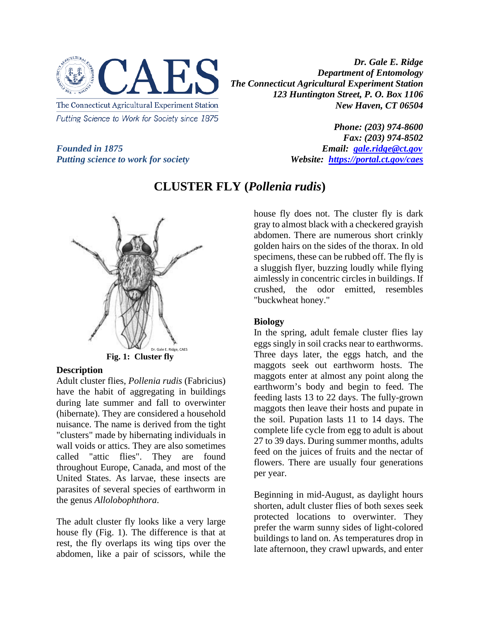

*Dr. Gale E. Ridge Department of Entomology The Connecticut Agricultural Experiment Station 123 Huntington Street, P. O. Box 1106 New Haven, CT 06504* 

*Phone: (203) 974-8600 Fax: (203) 974-8502 Founded in 1875*<br>*Putting science to work for society Founded in 1875 Email: <u>[gale.ridge@ct.gov](mailto:gale.ridge@ct.gov)</u><br><i>Website: https://portal.ct.gov/caes* 



# *Putting science to work for society*

Dr. Gale E. Ridge, CAES **Fig. 1: Cluster fly**

#### **Description**

Adult cluster flies, *Pollenia rudis* (Fabricius) have the habit of aggregating in buildings during late summer and fall to overwinter (hibernate). They are considered a household nuisance. The name is derived from the tight "clusters" made by hibernating individuals in wall voids or attics. They are also sometimes called "attic flies". They are found throughout Europe, Canada, and most of the United States. As larvae, these insects are parasites of several species of earthworm in the genus *Allolobophthora*.

The adult cluster fly looks like a very large house fly (Fig. 1). The difference is that at rest, the fly overlaps its wing tips over the abdomen, like a pair of scissors, while the

## **CLUSTER FLY (***Pollenia rudis***)**

house fly does not. The cluster fly is dark gray to almost black with a checkered grayish abdomen. There are numerous short crinkly golden hairs on the sides of the thorax. In old specimens, these can be rubbed off. The fly is a sluggish flyer, buzzing loudly while flying aimlessly in concentric circles in buildings. If crushed, the odor emitted, resembles "buckwheat honey."

#### **Biology**

In the spring, adult female cluster flies lay eggs singly in soil cracks near to earthworms. Three days later, the eggs hatch, and the maggots seek out earthworm hosts. The maggots enter at almost any point along the earthworm's body and begin to feed. The feeding lasts 13 to 22 days. The fully-grown maggots then leave their hosts and pupate in the soil. Pupation lasts 11 to 14 days. The complete life cycle from egg to adult is about 27 to 39 days. During summer months, adults feed on the juices of fruits and the nectar of flowers. There are usually four generations per year.

Beginning in mid-August, as daylight hours shorten, adult cluster flies of both sexes seek protected locations to overwinter. They prefer the warm sunny sides of light-colored buildings to land on. As temperatures drop in late afternoon, they crawl upwards, and enter